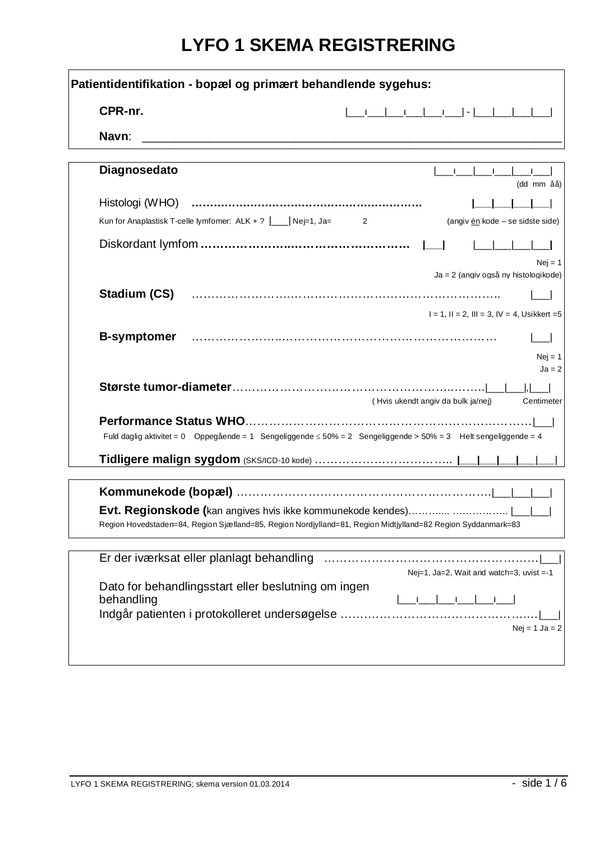# **LYFO 1 SKEMA REGISTRERING**

| Patientidentifikation - bopæl og primært behandlende sygehus:                                                         |
|-----------------------------------------------------------------------------------------------------------------------|
| CPR-nr.                                                                                                               |
| Navn:                                                                                                                 |
| Diagnosedato<br>111111<br>(dd mm åå)                                                                                  |
| Kun for Anaplastisk T-celle lymfomer: $ALK + ? \quad \boxed{\qquad}$ Nej=1, Ja= 2<br>(angiv én kode - se sidste side) |
| $Nei = 1$                                                                                                             |
| Ja = 2 (angiv også ny histologikode)<br>Stadium (CS)<br>$I = 1$ , $II = 2$ , $III = 3$ , $IV = 4$ , Usikkert = 5      |
| <b>B-symptomer</b><br>$Nej = 1$<br>$Ja = 2$                                                                           |
| (Hvis ukendt angiv da bulk ja/nej)<br>Centimeter                                                                      |
| Fuld daglig aktivitet = 0 Oppegående = 1 Sengeliggende ≤ 50% = 2 Sengeliggende > 50% = 3 Helt sengeliggende = 4       |
|                                                                                                                       |
| Region Hovedstaden=84, Region Sjælland=85, Region Nordjylland=81, Region Midtjylland=82 Region Syddanmark=83          |
| Nej=1, Ja=2, Wait and watch=3, uvist =-1                                                                              |
| Dato for behandlingsstart eller beslutning om ingen<br>behandling<br>$Nej = 1$ Ja = 2                                 |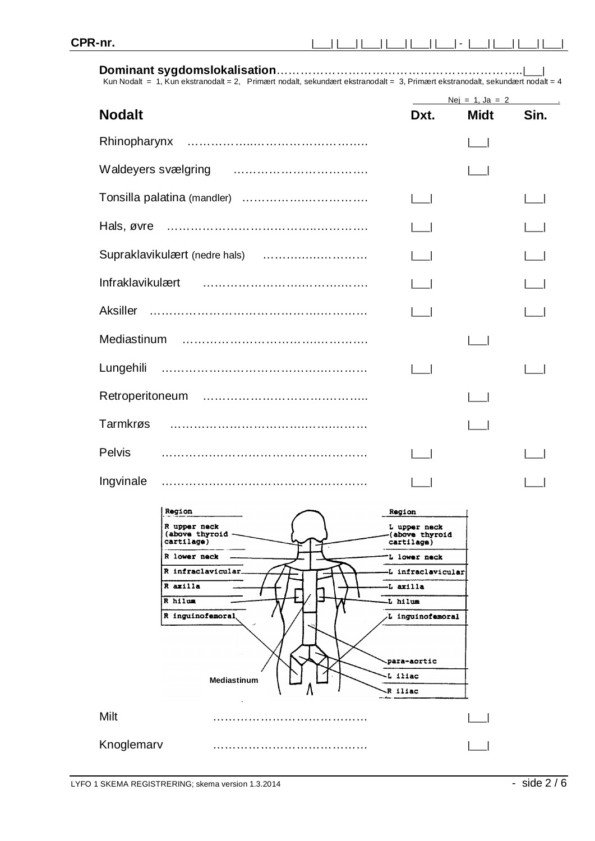ara-aortic iliac  $R$  iliac

#### **Dominant sygdomslokalisation**……………………………………………………..|\_\_\_|

Kun Nodalt = 1, Kun ekstranodalt = 2, Primært nodalt, sekundært ekstranodalt = 3, Primært ekstranodalt, sekundært nodalt = 4

|                                                |                                              | $Nej = 1, Ja = 2$ |      |
|------------------------------------------------|----------------------------------------------|-------------------|------|
| <b>Nodalt</b>                                  | Dxt.                                         | <b>Midt</b>       | Sin. |
| Rhinopharynx                                   |                                              |                   |      |
| Waldeyers svælgring                            |                                              |                   |      |
|                                                |                                              |                   |      |
| Hals, øvre                                     |                                              |                   |      |
| Supraklavikulært (nedre hals)                  |                                              |                   |      |
| Infraklavikulært                               |                                              |                   |      |
| <b>Aksiller</b>                                |                                              |                   |      |
| Mediastinum                                    |                                              |                   |      |
| Lungehili                                      |                                              |                   |      |
|                                                |                                              |                   |      |
| Tarmkrøs                                       |                                              |                   |      |
| <b>Pelvis</b>                                  |                                              |                   |      |
| Ingvinale                                      |                                              |                   |      |
| Region                                         | <b>Region</b>                                |                   |      |
| R upper neck<br>(above thyroid -<br>cartilage) | L upper neck<br>(above thyroid<br>cartilage) |                   |      |
| R lower neck                                   | L lower neck                                 |                   |      |
| R infraclavicular.                             | -L infraclavicular                           |                   |      |
| R axilla                                       | -L axilla                                    |                   |      |
| R hilum                                        | L hilum.                                     |                   |      |
| R inguinofemoral                               | L inguinofemoral                             |                   |      |
|                                                |                                              |                   |      |

Milt ………………………………… |\_\_\_|

**Mediastinum**

Knoglemarv ………………………………… |\_\_\_|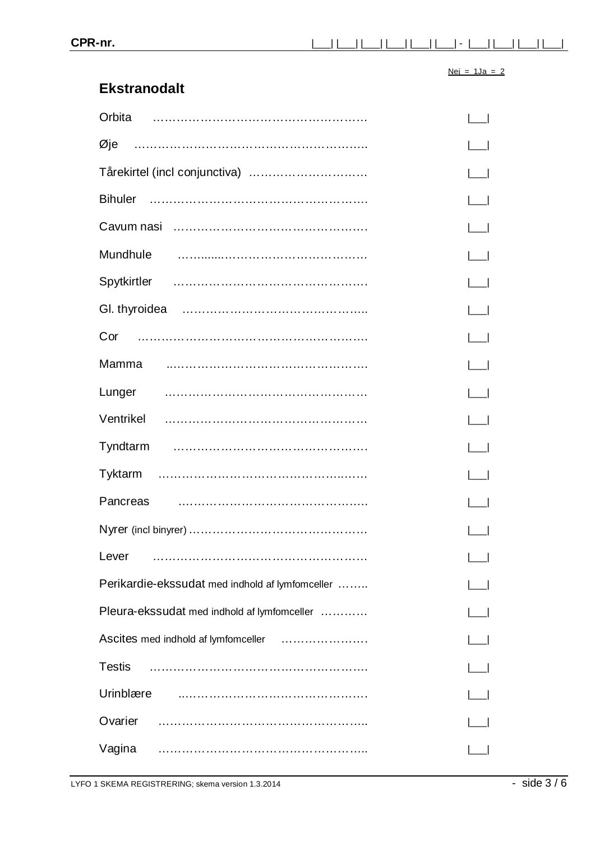#### $Nej = 1Ja = 2$

#### **Ekstranodalt**

| Orbita                                          |  |
|-------------------------------------------------|--|
|                                                 |  |
| Tårekirtel (incl conjunctiva)                   |  |
| <b>Bihuler</b>                                  |  |
|                                                 |  |
|                                                 |  |
|                                                 |  |
|                                                 |  |
|                                                 |  |
| Mamma                                           |  |
|                                                 |  |
|                                                 |  |
|                                                 |  |
|                                                 |  |
| Pancreas                                        |  |
|                                                 |  |
| Lever                                           |  |
| Perikardie-ekssudat med indhold af lymfomceller |  |
| Pleura-ekssudat med indhold af lymfomceller     |  |
| Ascites med indhold af lymfomceller             |  |
| <b>Testis</b>                                   |  |
| Urinblære                                       |  |
| Ovarier                                         |  |
| Vagina                                          |  |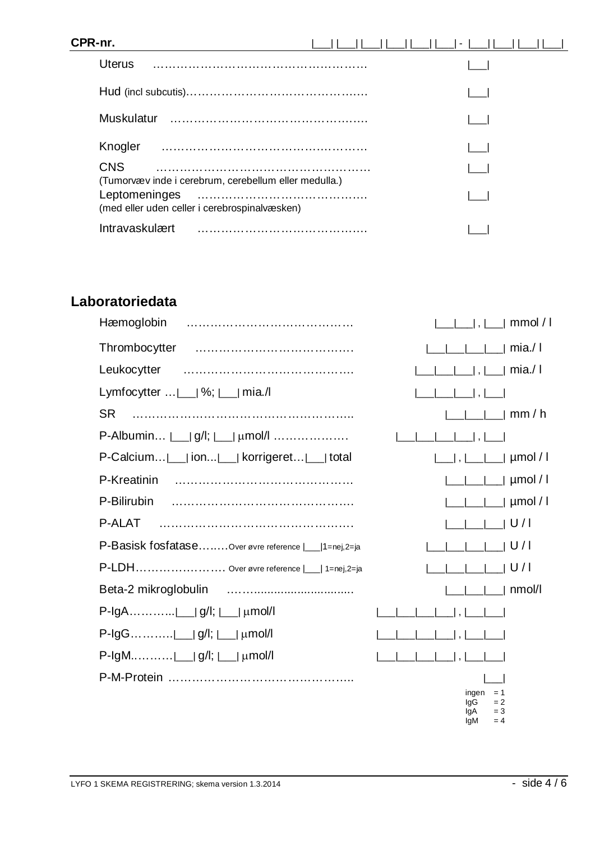## **CPR-nr.** |\_\_\_| |\_\_\_| |\_\_\_| |\_\_\_| |\_\_\_| |\_\_\_| - |\_\_\_| |\_\_\_| |\_\_\_| |\_\_\_| Uterus ……………………………………………… |\_\_\_| Hud (incl subcutis)…………………………………….… |\_\_\_| Muskulatur ……………………………………….…. |\_\_\_| Knogler ………………………………….………… |\_\_\_| CNS ……………………………………………… |\_\_\_| (Tumorvæv inde i cerebrum, cerebellum eller medulla.) Leptomeninges ………………………………….… |\_\_\_| (med eller uden celler i cerebrospinalvæsken)

Intravaskulært ………………………………….… |\_\_\_|

### **Laboratoriedata**

| Hæmoglobin                                                                        |                                                                                                                                                                                                                                                                                                                                                                                                                                                   |
|-----------------------------------------------------------------------------------|---------------------------------------------------------------------------------------------------------------------------------------------------------------------------------------------------------------------------------------------------------------------------------------------------------------------------------------------------------------------------------------------------------------------------------------------------|
| Thrombocytter                                                                     | $\vert$ $\vert$ $\vert$ $\vert$ mia./                                                                                                                                                                                                                                                                                                                                                                                                             |
| Leukocytter                                                                       |                                                                                                                                                                                                                                                                                                                                                                                                                                                   |
| Lymfocytter $\lfloor \frac{m}{2} \rfloor$ %; $\lfloor \frac{m}{2} \rfloor$ mia./l |                                                                                                                                                                                                                                                                                                                                                                                                                                                   |
| <b>SR</b>                                                                         | $\vert$ $\vert$ $\vert$ mm/h                                                                                                                                                                                                                                                                                                                                                                                                                      |
| P-Albumin $ \_$   g/l; $ \_$   $\mu$ mol/l                                        |                                                                                                                                                                                                                                                                                                                                                                                                                                                   |
| P-Calcium  ___  ion  ___  korrigeret  ___  total                                  |                                                                                                                                                                                                                                                                                                                                                                                                                                                   |
| P-Kreatinin                                                                       |                                                                                                                                                                                                                                                                                                                                                                                                                                                   |
| P-Bilirubin                                                                       | __ __ __  µmol / l                                                                                                                                                                                                                                                                                                                                                                                                                                |
| P-ALAT                                                                            |                                                                                                                                                                                                                                                                                                                                                                                                                                                   |
| P-Basisk fosfatase Over øvre reference  __ 1=nej,2=ja                             | IIIIIIU/I                                                                                                                                                                                                                                                                                                                                                                                                                                         |
| P-LDH Over øvre reference  __  1=nej,2=ja                                         | $\begin{array}{c c c c c c c} & \multicolumn{1}{c }{\multicolumn{1}{c }{\multicolumn{1}{c }{\multicolumn{1}{c }{\multicolumn{1}{c }{\multicolumn{1}{c }{\multicolumn{1}{c }{\multicolumn{1}{c }{\multicolumn{1}{c }{\multicolumn{1}{c }{\multicolumn{1}{c }{\multicolumn{1}{c }{\multicolumn{1}{c }{\multicolumn{1}{c }{\multicolumn{1}{c }{\multicolumn{1}{c }{\multicolumn{1}{c }{\multicolumn{1}{c }{\multicolumn{1}{c }{\multicolumn{1}{c }{$ |
|                                                                                   | $\vert$ $\vert$ $\vert$ nmol/l                                                                                                                                                                                                                                                                                                                                                                                                                    |
|                                                                                   | $ $ $\Box$ $ $ , $ $ $\Box$ $\Box$ $\Box$                                                                                                                                                                                                                                                                                                                                                                                                         |
| P-IgG __ g/l;  __  μmol/l                                                         | $\lfloor \_ \rfloor$ , $\lfloor$                                                                                                                                                                                                                                                                                                                                                                                                                  |
| $P$ -IgM __ g/l;  __  µmol/l                                                      |                                                                                                                                                                                                                                                                                                                                                                                                                                                   |
|                                                                                   | ingen $= 1$<br>IgG<br>$= 2$<br>lgA<br>$=$ 3<br>lgM<br>$= 4$                                                                                                                                                                                                                                                                                                                                                                                       |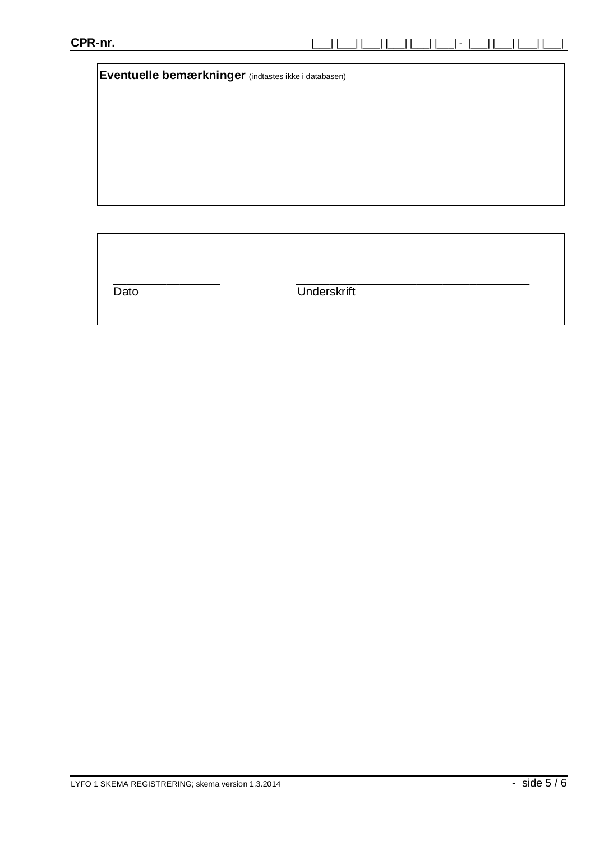**Eventuelle bemærkninger** (indtastes ikke i databasen)

\_\_\_\_\_\_\_\_\_\_\_\_\_\_\_\_ \_\_\_\_\_\_\_\_\_\_\_\_\_\_\_\_\_\_\_\_\_\_\_\_\_\_\_\_\_\_\_\_\_\_\_ Dato Underskrift